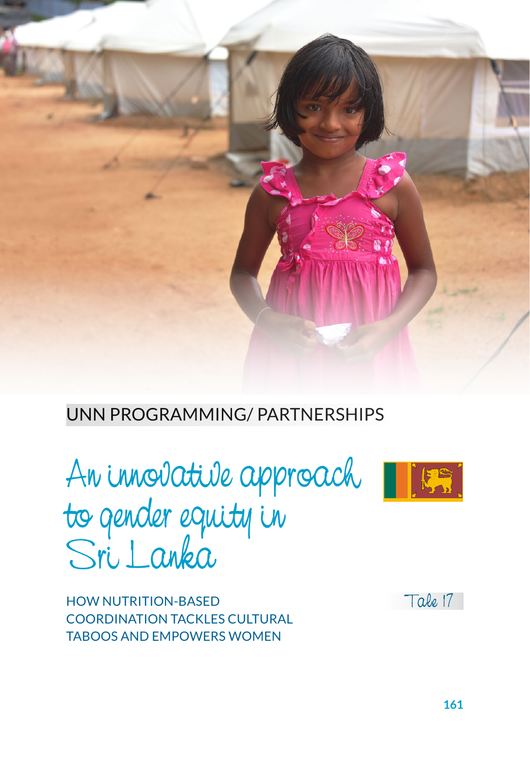

#### UNN PROGRAMMING/ PARTNERSHIPS

An innovative approach to gender equity in Sri Lanka

HOW NUTRITION-BASED COORDINATION TACKLES CULTURAL TABOOS AND EMPOWERS WOMEN



Tale 17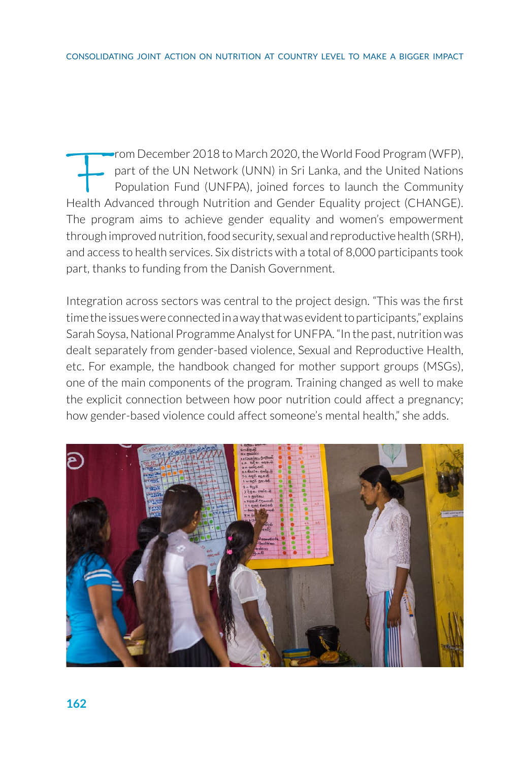From December 2018 to March 2020, the World Food Program (WFP),<br>part of the UN Network (UNN) in Sri Lanka, and the United Nations<br>Population Fund (UNFPA), joined forces to launch the Community<br>Health Advanced through Nutri part of the UN Network (UNN) in Sri Lanka, and the United Nations Population Fund (UNFPA), joined forces to launch the Community Health Advanced through Nutrition and Gender Equality project (CHANGE). The program aims to achieve gender equality and women's empowerment through improved nutrition, food security, sexual and reproductive health (SRH), and access to health services. Six districts with a total of 8,000 participants took part, thanks to funding from the Danish Government.

Integration across sectors was central to the project design. "This was the first time the issues were connected in a way that was evident to participants," explains Sarah Soysa, National Programme Analyst for UNFPA. "In the past, nutrition was dealt separately from gender-based violence, Sexual and Reproductive Health, etc. For example, the handbook changed for mother support groups (MSGs), one of the main components of the program. Training changed as well to make the explicit connection between how poor nutrition could affect a pregnancy; how gender-based violence could affect someone's mental health," she adds.

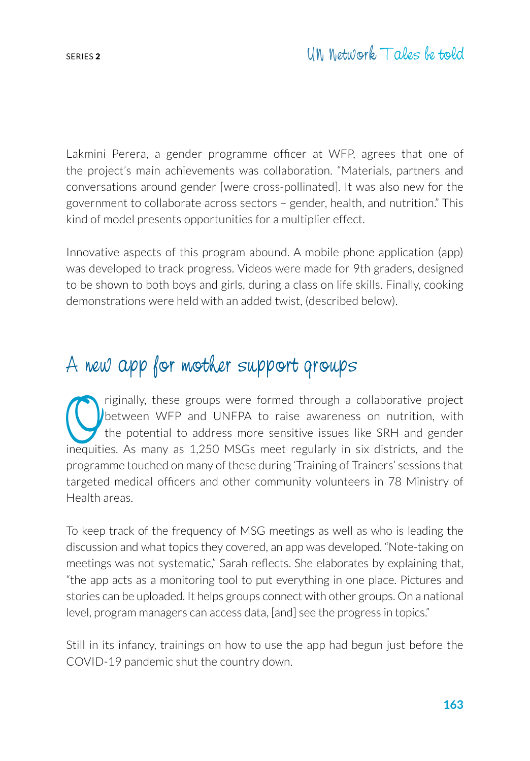Lakmini Perera, a gender programme officer at WFP, agrees that one of the project's main achievements was collaboration. "Materials, partners and conversations around gender [were cross-pollinated]. It was also new for the government to collaborate across sectors – gender, health, and nutrition." This kind of model presents opportunities for a multiplier effect.

Innovative aspects of this program abound. A mobile phone application (app) was developed to track progress. Videos were made for 9th graders, designed to be shown to both boys and girls, during a class on life skills. Finally, cooking demonstrations were held with an added twist, (described below).

#### A new app for mother support groups

riginally, these groups were formed through a collaborative project<br>between WFP and UNFPA to raise awareness on nutrition, with<br>the potential to address more sensitive issues like SRH and gender<br>inequities. As many as 1.25 between WFP and UNFPA to raise awareness on nutrition, with the potential to address more sensitive issues like SRH and gender inequities. As many as 1,250 MSGs meet regularly in six districts, and the programme touched on many of these during 'Training of Trainers' sessions that targeted medical officers and other community volunteers in 78 Ministry of Health areas.

To keep track of the frequency of MSG meetings as well as who is leading the discussion and what topics they covered, an app was developed. "Note-taking on meetings was not systematic," Sarah reflects. She elaborates by explaining that, "the app acts as a monitoring tool to put everything in one place. Pictures and stories can be uploaded. It helps groups connect with other groups. On a national level, program managers can access data, [and] see the progress in topics."

Still in its infancy, trainings on how to use the app had begun just before the COVID-19 pandemic shut the country down.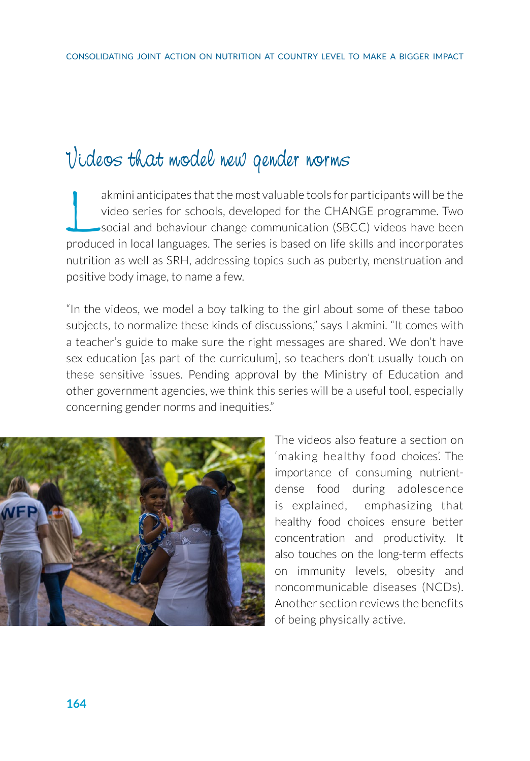## Videos that model new gender norms

akmini anticipates that the most valuable tools for participants will be the video series for schools, developed for the CHANGE programme. Two social and behaviour change communication (SBCC) videos have been produced in local languages. The series is based on life skills and incorporates nutrition as well as SRH, addressing topics such as puberty, menstruation and positive body image, to name a few.

"In the videos, we model a boy talking to the girl about some of these taboo subjects, to normalize these kinds of discussions," says Lakmini. "It comes with a teacher's guide to make sure the right messages are shared. We don't have sex education [as part of the curriculum], so teachers don't usually touch on these sensitive issues. Pending approval by the Ministry of Education and other government agencies, we think this series will be a useful tool, especially concerning gender norms and inequities."



The videos also feature a section on 'making healthy food choices'. The importance of consuming nutrientdense food during adolescence is explained, emphasizing that healthy food choices ensure better concentration and productivity. It also touches on the long-term effects on immunity levels, obesity and noncommunicable diseases (NCDs). Another section reviews the benefits of being physically active.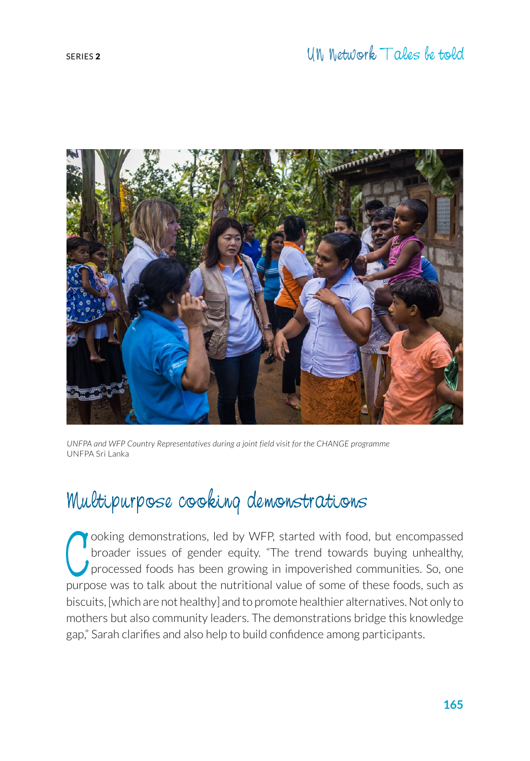

*UNFPA and WFP Country Representatives during a joint field visit for the CHANGE programme* UNFPA Sri Lanka

# Multipurpose cooking demonstrations

O ooking demonstrations, led by WFP, started with food, but encompassed broader issues of gender equity. "The trend towards buying unhealthy, processed foods has been growing in impoverished communities. So, one purpose wa ooking demonstrations, led by WFP, started with food, but encompassed broader issues of gender equity. "The trend towards buying unhealthy, processed foods has been growing in impoverished communities. So, one biscuits, [which are not healthy] and to promote healthier alternatives. Not only to mothers but also community leaders. The demonstrations bridge this knowledge gap," Sarah clarifies and also help to build confidence among participants.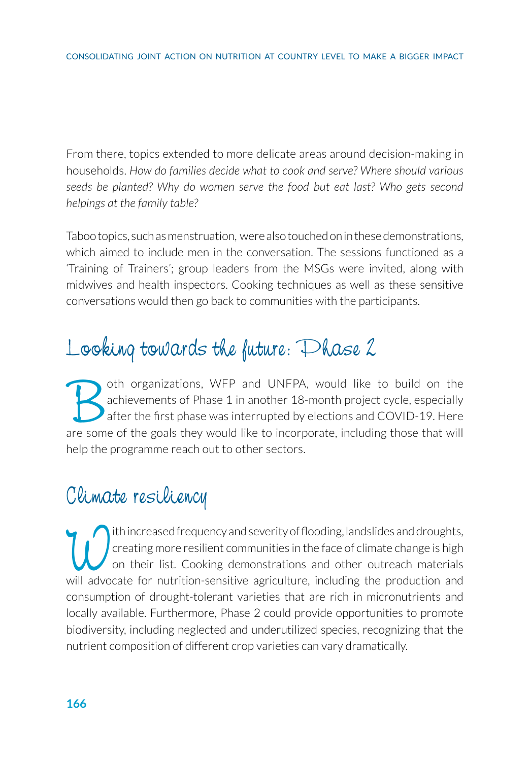From there, topics extended to more delicate areas around decision-making in households. *How do families decide what to cook and serve? Where should various seeds be planted? Why do women serve the food but eat last? Who gets second helpings at the family table?* 

Taboo topics, such as menstruation, were also touched on in these demonstrations, which aimed to include men in the conversation. The sessions functioned as a 'Training of Trainers'; group leaders from the MSGs were invited, along with midwives and health inspectors. Cooking techniques as well as these sensitive conversations would then go back to communities with the participants.

# Looking towards the future: Phase 2

Oth organizations, WFP and UNFPA, would like to build on the achievements of Phase 1 in another 18-month project cycle, especially after the first phase was interrupted by elections and COVID-19. Here are some of the goals achievements of Phase 1 in another 18-month project cycle, especially after the first phase was interrupted by elections and COVID-19. Here are some of the goals they would like to incorporate, including those that will help the programme reach out to other sectors.

#### Climate resiliency

Thincreased frequency and severity of flooding, landslides and droughts,<br>
on their list. Cooking demonstrations and other outreach materials<br>
will advocate for nutrition-sensitive agriculture including the production and creating more resilient communities in the face of climate change is high on their list. Cooking demonstrations and other outreach materials will advocate for nutrition-sensitive agriculture, including the production and consumption of drought-tolerant varieties that are rich in micronutrients and locally available. Furthermore, Phase 2 could provide opportunities to promote biodiversity, including neglected and underutilized species, recognizing that the nutrient composition of different crop varieties can vary dramatically.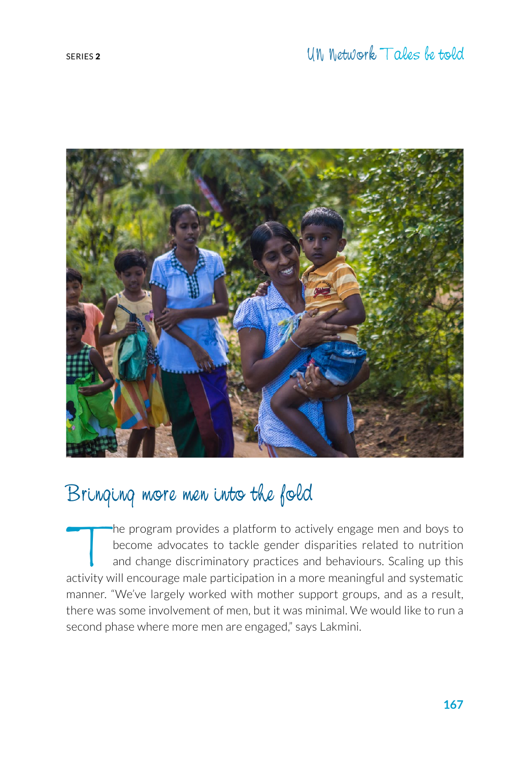

### Bringing more men into the fold

The program provides a platform to actively engage men and boys to<br>become advocates to tackle gender disparities related to nutrition<br>and change discriminatory practices and behaviours. Scaling up this<br>activity will encour become advocates to tackle gender disparities related to nutrition and change discriminatory practices and behaviours. Scaling up this activity will encourage male participation in a more meaningful and systematic manner. "We've largely worked with mother support groups, and as a result, there was some involvement of men, but it was minimal. We would like to run a second phase where more men are engaged," says Lakmini.